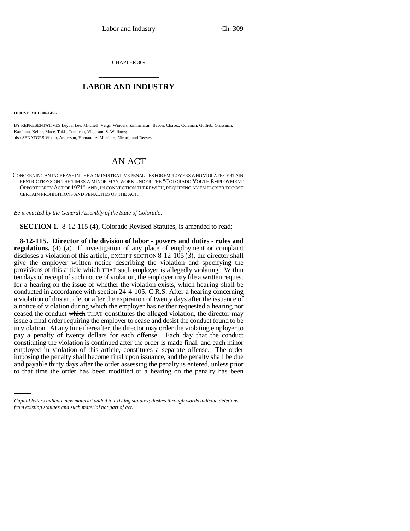CHAPTER 309 \_\_\_\_\_\_\_\_\_\_\_\_\_\_\_

## **LABOR AND INDUSTRY** \_\_\_\_\_\_\_\_\_\_\_\_\_\_\_

**HOUSE BILL 00-1455** 

BY REPRESENTATIVES Leyba, Lee, Mitchell, Veiga, Windels, Zimmerman, Bacon, Chavez, Coleman, Gotlieb, Grossman, Kaufman, Keller, Mace, Takis, Tochtrop, Vigil, and S. Williams; also SENATORS Wham, Anderson, Hernandez, Martinez, Nichol, and Reeves.

## AN ACT

CONCERNING AN INCREASE IN THE ADMINISTRATIVE PENALTIES FOR EMPLOYERS WHO VIOLATE CERTAIN RESTRICTIONS ON THE TIMES A MINOR MAY WORK UNDER THE "COLORADO YOUTH EMPLOYMENT OPPORTUNITY ACT OF 1971", AND, IN CONNECTION THEREWITH, REQUIRING AN EMPLOYER TO POST CERTAIN PROHIBITIONS AND PENALTIES OF THE ACT.

*Be it enacted by the General Assembly of the State of Colorado:*

**SECTION 1.** 8-12-115 (4), Colorado Revised Statutes, is amended to read:

imposing the penalty shall become final upon issuance, and the penalty shall be due **8-12-115. Director of the division of labor - powers and duties - rules and regulations.** (4) (a) If investigation of any place of employment or complaint discloses a violation of this article, EXCEPT SECTION 8-12-105 (3), the director shall give the employer written notice describing the violation and specifying the provisions of this article which THAT such employer is allegedly violating. Within ten days of receipt of such notice of violation, the employer may file a written request for a hearing on the issue of whether the violation exists, which hearing shall be conducted in accordance with section 24-4-105, C.R.S. After a hearing concerning a violation of this article, or after the expiration of twenty days after the issuance of a notice of violation during which the employer has neither requested a hearing nor ceased the conduct which THAT constitutes the alleged violation, the director may issue a final order requiring the employer to cease and desist the conduct found to be in violation. At any time thereafter, the director may order the violating employer to pay a penalty of twenty dollars for each offense. Each day that the conduct constituting the violation is continued after the order is made final, and each minor employed in violation of this article, constitutes a separate offense. The order and payable thirty days after the order assessing the penalty is entered, unless prior to that time the order has been modified or a hearing on the penalty has been

*Capital letters indicate new material added to existing statutes; dashes through words indicate deletions from existing statutes and such material not part of act.*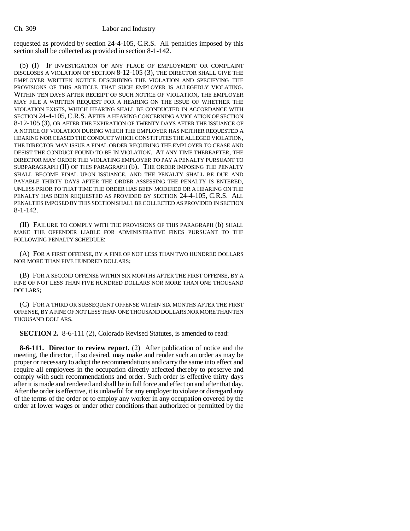requested as provided by section 24-4-105, C.R.S. All penalties imposed by this section shall be collected as provided in section 8-1-142.

(b) (I) IF INVESTIGATION OF ANY PLACE OF EMPLOYMENT OR COMPLAINT DISCLOSES A VIOLATION OF SECTION 8-12-105 (3), THE DIRECTOR SHALL GIVE THE EMPLOYER WRITTEN NOTICE DESCRIBING THE VIOLATION AND SPECIFYING THE PROVISIONS OF THIS ARTICLE THAT SUCH EMPLOYER IS ALLEGEDLY VIOLATING. WITHIN TEN DAYS AFTER RECEIPT OF SUCH NOTICE OF VIOLATION, THE EMPLOYER MAY FILE A WRITTEN REQUEST FOR A HEARING ON THE ISSUE OF WHETHER THE VIOLATION EXISTS, WHICH HEARING SHALL BE CONDUCTED IN ACCORDANCE WITH SECTION 24-4-105, C.R.S. AFTER A HEARING CONCERNING A VIOLATION OF SECTION 8-12-105 (3), OR AFTER THE EXPIRATION OF TWENTY DAYS AFTER THE ISSUANCE OF A NOTICE OF VIOLATION DURING WHICH THE EMPLOYER HAS NEITHER REQUESTED A HEARING NOR CEASED THE CONDUCT WHICH CONSTITUTES THE ALLEGED VIOLATION, THE DIRECTOR MAY ISSUE A FINAL ORDER REQUIRING THE EMPLOYER TO CEASE AND DESIST THE CONDUCT FOUND TO BE IN VIOLATION. AT ANY TIME THEREAFTER, THE DIRECTOR MAY ORDER THE VIOLATING EMPLOYER TO PAY A PENALTY PURSUANT TO SUBPARAGRAPH (II) OF THIS PARAGRAPH (b). THE ORDER IMPOSING THE PENALTY SHALL BECOME FINAL UPON ISSUANCE, AND THE PENALTY SHALL BE DUE AND PAYABLE THIRTY DAYS AFTER THE ORDER ASSESSING THE PENALTY IS ENTERED, UNLESS PRIOR TO THAT TIME THE ORDER HAS BEEN MODIFIED OR A HEARING ON THE PENALTY HAS BEEN REQUESTED AS PROVIDED BY SECTION 24-4-105, C.R.S. ALL PENALTIES IMPOSED BY THIS SECTION SHALL BE COLLECTED AS PROVIDED IN SECTION 8-1-142.

(II) FAILURE TO COMPLY WITH THE PROVISIONS OF THIS PARAGRAPH (b) SHALL MAKE THE OFFENDER LIABLE FOR ADMINISTRATIVE FINES PURSUANT TO THE FOLLOWING PENALTY SCHEDULE:

(A) FOR A FIRST OFFENSE, BY A FINE OF NOT LESS THAN TWO HUNDRED DOLLARS NOR MORE THAN FIVE HUNDRED DOLLARS;

(B) FOR A SECOND OFFENSE WITHIN SIX MONTHS AFTER THE FIRST OFFENSE, BY A FINE OF NOT LESS THAN FIVE HUNDRED DOLLARS NOR MORE THAN ONE THOUSAND DOLLARS;

(C) FOR A THIRD OR SUBSEQUENT OFFENSE WITHIN SIX MONTHS AFTER THE FIRST OFFENSE, BY A FINE OF NOT LESS THAN ONE THOUSAND DOLLARS NOR MORE THAN TEN THOUSAND DOLLARS.

**SECTION 2.** 8-6-111 (2), Colorado Revised Statutes, is amended to read:

**8-6-111. Director to review report.** (2) After publication of notice and the meeting, the director, if so desired, may make and render such an order as may be proper or necessary to adopt the recommendations and carry the same into effect and require all employees in the occupation directly affected thereby to preserve and comply with such recommendations and order. Such order is effective thirty days after it is made and rendered and shall be in full force and effect on and after that day. After the order is effective, it is unlawful for any employer to violate or disregard any of the terms of the order or to employ any worker in any occupation covered by the order at lower wages or under other conditions than authorized or permitted by the